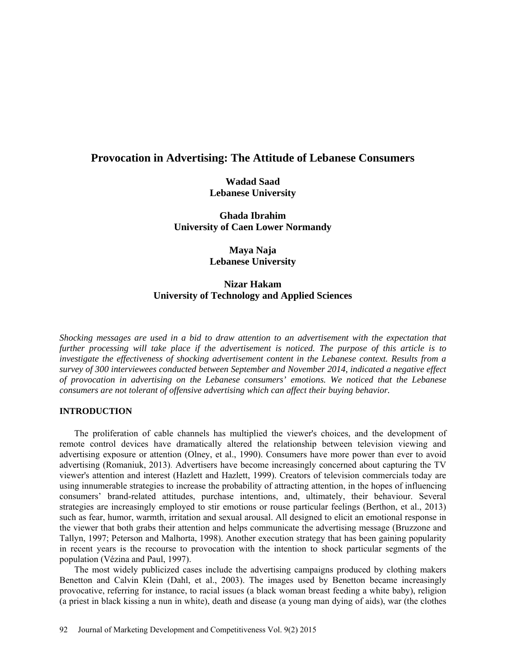# **Provocation in Advertising: The Attitude of Lebanese Consumers**

**Wadad Saad Lebanese University**

**Ghada Ibrahim University of Caen Lower Normandy**

> **Maya Naja Lebanese University**

# **Nizar Hakam University of Technology and Applied Sciences**

*Shocking messages are used in a bid to draw attention to an advertisement with the expectation that further processing will take place if the advertisement is noticed. The purpose of this article is to investigate the effectiveness of shocking advertisement content in the Lebanese context. Results from a survey of 300 interviewees conducted between September and November 2014, indicated a negative effect of provocation in advertising on the Lebanese consumers' emotions. We noticed that the Lebanese consumers are not tolerant of offensive advertising which can affect their buying behavior.* 

# **INTRODUCTION**

The proliferation of cable channels has multiplied the viewer's choices, and the development of remote control devices have dramatically altered the relationship between television viewing and advertising exposure or attention (Olney, et al., 1990). Consumers have more power than ever to avoid advertising (Romaniuk, 2013). Advertisers have become increasingly concerned about capturing the TV viewer's attention and interest (Hazlett and Hazlett, 1999). Creators of television commercials today are using innumerable strategies to increase the probability of attracting attention, in the hopes of influencing consumers' brand-related attitudes, purchase intentions, and, ultimately, their behaviour. Several strategies are increasingly employed to stir emotions or rouse particular feelings (Berthon, et al., 2013) such as fear, humor, warmth, irritation and sexual arousal. All designed to elicit an emotional response in the viewer that both grabs their attention and helps communicate the advertising message (Bruzzone and Tallyn, 1997; Peterson and Malhorta, 1998). Another execution strategy that has been gaining popularity in recent years is the recourse to provocation with the intention to shock particular segments of the population (Vézina and Paul, 1997).

The most widely publicized cases include the advertising campaigns produced by clothing makers Benetton and Calvin Klein (Dahl, et al., 2003). The images used by Benetton became increasingly provocative, referring for instance, to racial issues (a black woman breast feeding a white baby), religion (a priest in black kissing a nun in white), death and disease (a young man dying of aids), war (the clothes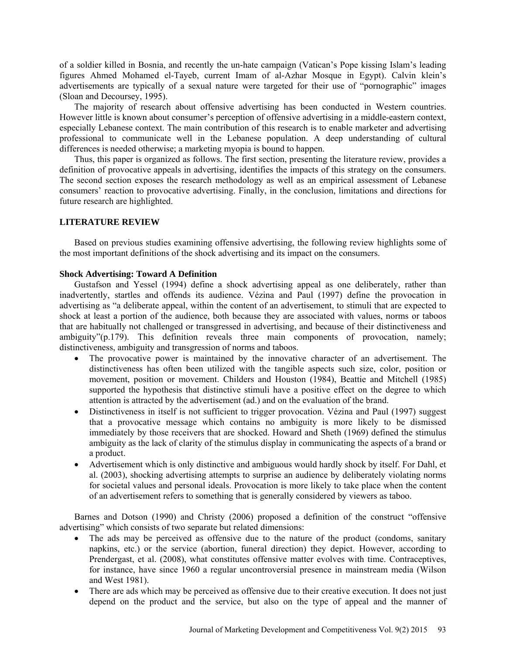of a soldier killed in Bosnia, and recently the un-hate campaign (Vatican's Pope kissing Islam's leading figures Ahmed Mohamed el-Tayeb, current Imam of al-Azhar Mosque in Egypt). Calvin klein's advertisements are typically of a sexual nature were targeted for their use of "pornographic" images (Sloan and Decoursey, 1995).

The majority of research about offensive advertising has been conducted in Western countries. However little is known about consumer's perception of offensive advertising in a middle-eastern context, especially Lebanese context. The main contribution of this research is to enable marketer and advertising professional to communicate well in the Lebanese population. A deep understanding of cultural differences is needed otherwise; a marketing myopia is bound to happen.

Thus, this paper is organized as follows. The first section, presenting the literature review, provides a definition of provocative appeals in advertising, identifies the impacts of this strategy on the consumers. The second section exposes the research methodology as well as an empirical assessment of Lebanese consumers' reaction to provocative advertising. Finally, in the conclusion, limitations and directions for future research are highlighted.

## **LITERATURE REVIEW**

Based on previous studies examining offensive advertising, the following review highlights some of the most important definitions of the shock advertising and its impact on the consumers.

## **Shock Advertising: Toward A Definition**

Gustafson and Yessel (1994) define a shock advertising appeal as one deliberately, rather than inadvertently, startles and offends its audience. Vézina and Paul (1997) define the provocation in advertising as "a deliberate appeal, within the content of an advertisement, to stimuli that are expected to shock at least a portion of the audience, both because they are associated with values, norms or taboos that are habitually not challenged or transgressed in advertising, and because of their distinctiveness and ambiguity"(p.179). This definition reveals three main components of provocation, namely; distinctiveness, ambiguity and transgression of norms and taboos.

- The provocative power is maintained by the innovative character of an advertisement. The distinctiveness has often been utilized with the tangible aspects such size, color, position or movement, position or movement. Childers and Houston (1984), Beattie and Mitchell (1985) supported the hypothesis that distinctive stimuli have a positive effect on the degree to which attention is attracted by the advertisement (ad.) and on the evaluation of the brand.
- Distinctiveness in itself is not sufficient to trigger provocation. Vézina and Paul (1997) suggest that a provocative message which contains no ambiguity is more likely to be dismissed immediately by those receivers that are shocked. Howard and Sheth (1969) defined the stimulus ambiguity as the lack of clarity of the stimulus display in communicating the aspects of a brand or a product.
- Advertisement which is only distinctive and ambiguous would hardly shock by itself. For Dahl, et al. (2003), shocking advertising attempts to surprise an audience by deliberately violating norms for societal values and personal ideals. Provocation is more likely to take place when the content of an advertisement refers to something that is generally considered by viewers as taboo.

Barnes and Dotson (1990) and Christy (2006) proposed a definition of the construct "offensive advertising" which consists of two separate but related dimensions:

- The ads may be perceived as offensive due to the nature of the product (condoms, sanitary napkins, etc.) or the service (abortion, funeral direction) they depict. However, according to Prendergast, et al. (2008), what constitutes offensive matter evolves with time. Contraceptives, for instance, have since 1960 a regular uncontroversial presence in mainstream media (Wilson and West 1981).
- There are ads which may be perceived as offensive due to their creative execution. It does not just depend on the product and the service, but also on the type of appeal and the manner of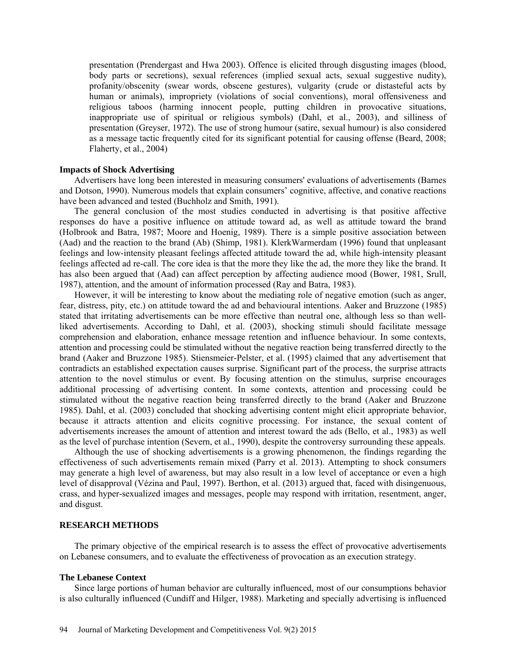presentation (Prendergast and Hwa 2003). Offence is elicited through disgusting images (blood, body parts or secretions), sexual references (implied sexual acts, sexual suggestive nudity), profanity/obscenity (swear words, obscene gestures), vulgarity (crude or distasteful acts by human or animals), impropriety (violations of social conventions), moral offensiveness and religious taboos (harming innocent people, putting children in provocative situations, inappropriate use of spiritual or religious symbols) (Dahl, et al., 2003), and silliness of presentation (Greyser, 1972). The use of strong humour (satire, sexual humour) is also considered as a message tactic frequently cited for its significant potential for causing offense (Beard, 2008; Flaherty, et al., 2004)

#### **Impacts of Shock Advertising**

Advertisers have long been interested in measuring consumers' evaluations of advertisements (Barnes and Dotson, 1990). Numerous models that explain consumers' cognitive, affective, and conative reactions have been advanced and tested (Buchholz and Smith, 1991).

The general conclusion of the most studies conducted in advertising is that positive affective responses do have a positive influence on attitude toward ad, as well as attitude toward the brand (Holbrook and Batra, 1987; Moore and Hoenig, 1989). There is a simple positive association between (Aad) and the reaction to the brand (Ab) (Shimp, 1981). KlerkWarmerdam (1996) found that unpleasant feelings and low-intensity pleasant feelings affected attitude toward the ad, while high-intensity pleasant feelings affected ad re-call. The core idea is that the more they like the ad, the more they like the brand. It has also been argued that (Aad) can affect perception by affecting audience mood (Bower, 1981, Srull, 1987), attention, and the amount of information processed (Ray and Batra, 1983).

However, it will be interesting to know about the mediating role of negative emotion (such as anger, fear, distress, pity, etc.) on attitude toward the ad and behavioural intentions. Aaker and Bruzzone (1985) stated that irritating advertisements can be more effective than neutral one, although less so than wellliked advertisements. According to Dahl, et al. (2003), shocking stimuli should facilitate message comprehension and elaboration, enhance message retention and influence behaviour. In some contexts, attention and processing could be stimulated without the negative reaction being transferred directly to the brand (Aaker and Bruzzone 1985). Stiensmeier-Pelster, et al. (1995) claimed that any advertisement that contradicts an established expectation causes surprise. Significant part of the process, the surprise attracts attention to the novel stimulus or event. By focusing attention on the stimulus, surprise encourages additional processing of advertising content. In some contexts, attention and processing could be stimulated without the negative reaction being transferred directly to the brand (Aaker and Bruzzone 1985). Dahl, et al. (2003) concluded that shocking advertising content might elicit appropriate behavior, because it attracts attention and elicits cognitive processing. For instance, the sexual content of advertisements increases the amount of attention and interest toward the ads (Bello, et al., 1983) as well as the level of purchase intention (Severn, et al., 1990), despite the controversy surrounding these appeals.

Although the use of shocking advertisements is a growing phenomenon, the findings regarding the effectiveness of such advertisements remain mixed [\(Parry et al.](javascript:__doLinkPostBack() 2013). Attempting to shock consumers may generate a high level of awareness, but may also result in a low level of acceptance or even a high level of disapproval (Vézina and Paul, 1997). Berthon, et al. (2013) argued that, faced with disingenuous, crass, and hyper-sexualized images and messages, people may respond with irritation, resentment, anger, and disgust.

## **RESEARCH METHODS**

The primary objective of the empirical research is to assess the effect of provocative advertisements on Lebanese consumers, and to evaluate the effectiveness of provocation as an execution strategy.

## **The Lebanese Context**

Since large portions of human behavior are culturally influenced, most of our consumptions behavior is also culturally influenced (Cundiff and Hilger, 1988). Marketing and specially advertising is influenced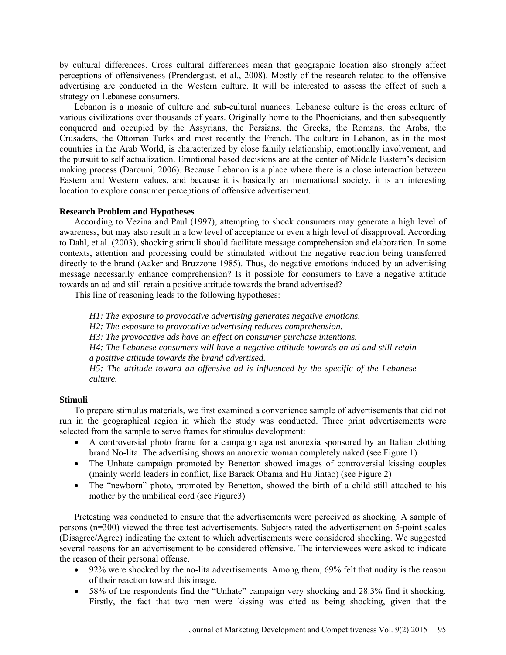by cultural differences. Cross cultural differences mean that geographic location also strongly affect perceptions of offensiveness (Prendergast, et al., 2008). Mostly of the research related to the offensive advertising are conducted in the Western culture. It will be interested to assess the effect of such a strategy on Lebanese consumers.

Lebanon is a mosaic of culture and sub-cultural nuances. Lebanese culture is the cross culture of various civilizations over thousands of years. Originally home to the [Phoenicians,](http://en.wikipedia.org/wiki/Phoenicia) and then subsequently conquered and occupied by the [Assyrians,](http://en.wikipedia.org/wiki/Assyria) the [Persians,](http://en.wikipedia.org/wiki/Persia) the [Greeks,](http://en.wikipedia.org/wiki/Greeks) the [Romans,](http://en.wikipedia.org/wiki/Ancient_Rome) the Arabs, the Crusaders, the [Ottoman Turks](http://en.wikipedia.org/wiki/Ottoman_Turks) and most recently the French. The culture in Lebanon, as in the most countries in the Arab World, is characterized by close family relationship, emotionally involvement, and the pursuit to self actualization. Emotional based decisions are at the center of Middle Eastern's decision making process (Darouni, 2006). Because Lebanon is a place where there is a close interaction between Eastern and Western values, and because it is basically an international society, it is an interesting location to explore consumer perceptions of offensive advertisement.

#### **Research Problem and Hypotheses**

According to Vezina and Paul (1997), attempting to shock consumers may generate a high level of awareness, but may also result in a low level of acceptance or even a high level of disapproval. According to Dahl, et al. (2003), shocking stimuli should facilitate message comprehension and elaboration. In some contexts, attention and processing could be stimulated without the negative reaction being transferred directly to the brand (Aaker and Bruzzone 1985). Thus, do negative emotions induced by an advertising message necessarily enhance comprehension? Is it possible for consumers to have a negative attitude towards an ad and still retain a positive attitude towards the brand advertised?

This line of reasoning leads to the following hypotheses:

*H1: The exposure to provocative advertising generates negative emotions.*

*H2: The exposure to provocative advertising reduces comprehension.*

*H3: The provocative ads have an effect on consumer purchase intentions.*

*H4: The Lebanese consumers will have a negative attitude towards an ad and still retain a positive attitude towards the brand advertised.*

*H5: The attitude toward an offensive ad is influenced by the specific of the Lebanese culture.*

### **Stimuli**

To prepare stimulus materials, we first examined a convenience sample of advertisements that did not run in the geographical region in which the study was conducted. Three print advertisements were selected from the sample to serve frames for stimulus development:

- A controversial photo frame for a campaign against anorexia sponsored by an Italian clothing brand No-lita. The advertising shows an anorexic woman completely naked (see Figure 1)
- The Unhate campaign promoted by Benetton showed images of controversial kissing couples (mainly world leaders in conflict, like Barack Obama and Hu Jintao) (see Figure 2)
- The "newborn" photo, promoted by Benetton, showed the birth of a child still attached to his mother by the umbilical cord (see Figure3)

Pretesting was conducted to ensure that the advertisements were perceived as shocking. A sample of persons (n=300) viewed the three test advertisements. Subjects rated the advertisement on 5-point scales (Disagree/Agree) indicating the extent to which advertisements were considered shocking. We suggested several reasons for an advertisement to be considered offensive. The interviewees were asked to indicate the reason of their personal offense.

- 92% were shocked by the no-lita advertisements. Among them, 69% felt that nudity is the reason of their reaction toward this image.
- 58% of the respondents find the "Unhate" campaign very shocking and 28.3% find it shocking. Firstly, the fact that two men were kissing was cited as being shocking, given that the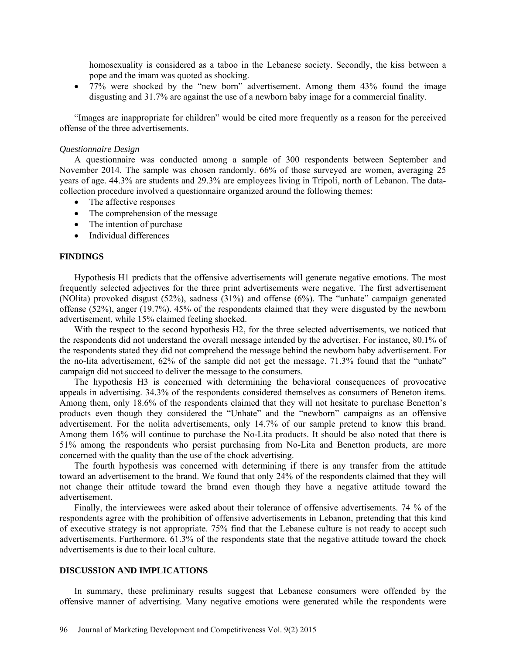homosexuality is considered as a taboo in the Lebanese society. Secondly, the kiss between a pope and the imam was quoted as shocking.

• 77% were shocked by the "new born" advertisement. Among them 43% found the image disgusting and 31.7% are against the use of a newborn baby image for a commercial finality.

"Images are inappropriate for children" would be cited more frequently as a reason for the perceived offense of the three advertisements.

#### *Questionnaire Design*

A questionnaire was conducted among a sample of 300 respondents between September and November 2014. The sample was chosen randomly. 66% of those surveyed are women, averaging 25 years of age. 44.3% are students and 29.3% are employees living in Tripoli, north of Lebanon. The datacollection procedure involved a questionnaire organized around the following themes:

- The affective responses
- The comprehension of the message
- The intention of purchase
- Individual differences

#### **FINDINGS**

Hypothesis H1 predicts that the offensive advertisements will generate negative emotions. The most frequently selected adjectives for the three print advertisements were negative. The first advertisement (NOlita) provoked disgust (52%), sadness (31%) and offense (6%). The "unhate" campaign generated offense (52%), anger (19.7%). 45% of the respondents claimed that they were disgusted by the newborn advertisement, while 15% claimed feeling shocked.

With the respect to the second hypothesis H2, for the three selected advertisements, we noticed that the respondents did not understand the overall message intended by the advertiser. For instance, 80.1% of the respondents stated they did not comprehend the message behind the newborn baby advertisement. For the no-lita advertisement, 62% of the sample did not get the message. 71.3% found that the "unhate" campaign did not succeed to deliver the message to the consumers.

The hypothesis H3 is concerned with determining the behavioral consequences of provocative appeals in advertising. 34.3% of the respondents considered themselves as consumers of Beneton items. Among them, only 18.6% of the respondents claimed that they will not hesitate to purchase Benetton's products even though they considered the "Unhate" and the "newborn" campaigns as an offensive advertisement. For the nolita advertisements, only 14.7% of our sample pretend to know this brand. Among them 16% will continue to purchase the No-Lita products. It should be also noted that there is 51% among the respondents who persist purchasing from No-Lita and Benetton products, are more concerned with the quality than the use of the chock advertising.

The fourth hypothesis was concerned with determining if there is any transfer from the attitude toward an advertisement to the brand. We found that only 24% of the respondents claimed that they will not change their attitude toward the brand even though they have a negative attitude toward the advertisement.

Finally, the interviewees were asked about their tolerance of offensive advertisements. 74 % of the respondents agree with the prohibition of offensive advertisements in Lebanon, pretending that this kind of executive strategy is not appropriate. 75% find that the Lebanese culture is not ready to accept such advertisements. Furthermore, 61.3% of the respondents state that the negative attitude toward the chock advertisements is due to their local culture.

#### **DISCUSSION AND IMPLICATIONS**

In summary, these preliminary results suggest that Lebanese consumers were offended by the offensive manner of advertising. Many negative emotions were generated while the respondents were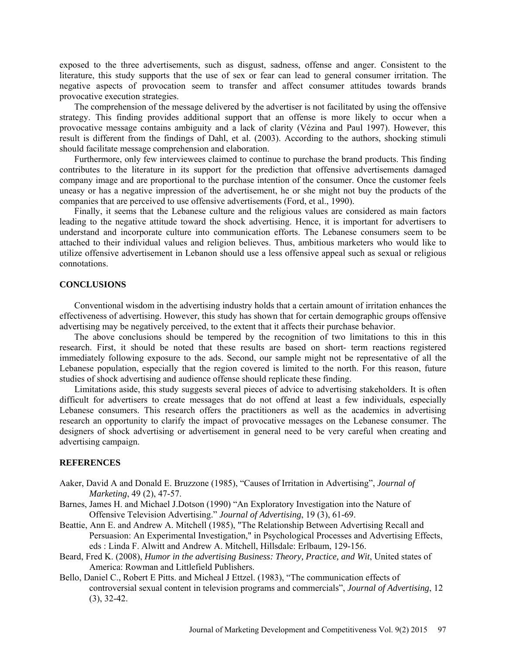exposed to the three advertisements, such as disgust, sadness, offense and anger. Consistent to the literature, this study supports that the use of sex or fear can lead to general consumer irritation. The negative aspects of provocation seem to transfer and affect consumer attitudes towards brands provocative execution strategies.

The comprehension of the message delivered by the advertiser is not facilitated by using the offensive strategy. This finding provides additional support that an offense is more likely to occur when a provocative message contains ambiguity and a lack of clarity (Vézina and Paul 1997). However, this result is different from the findings of Dahl, et al. (2003). According to the authors, shocking stimuli should facilitate message comprehension and elaboration.

Furthermore, only few interviewees claimed to continue to purchase the brand products. This finding contributes to the literature in its support for the prediction that offensive advertisements damaged company image and are proportional to the purchase intention of the consumer. Once the customer feels uneasy or has a negative impression of the advertisement, he or she might not buy the products of the companies that are perceived to use offensive advertisements (Ford, et al., 1990).

Finally, it seems that the Lebanese culture and the religious values are considered as main factors leading to the negative attitude toward the shock advertising. Hence, it is important for advertisers to understand and incorporate culture into communication efforts. The Lebanese consumers seem to be attached to their individual values and religion believes. Thus, ambitious marketers who would like to utilize offensive advertisement in Lebanon should use a less offensive appeal such as sexual or religious connotations.

#### **CONCLUSIONS**

Conventional wisdom in the advertising industry holds that a certain amount of irritation enhances the effectiveness of advertising. However, this study has shown that for certain demographic groups offensive advertising may be negatively perceived, to the extent that it affects their purchase behavior.

The above conclusions should be tempered by the recognition of two limitations to this in this research. First, it should be noted that these results are based on short- term reactions registered immediately following exposure to the ads. Second, our sample might not be representative of all the Lebanese population, especially that the region covered is limited to the north. For this reason, future studies of shock advertising and audience offense should replicate these finding.

Limitations aside, this study suggests several pieces of advice to advertising stakeholders. It is often difficult for advertisers to create messages that do not offend at least a few individuals, especially Lebanese consumers. This research offers the practitioners as well as the academics in advertising research an opportunity to clarify the impact of provocative messages on the Lebanese consumer. The designers of shock advertising or advertisement in general need to be very careful when creating and advertising campaign.

#### **REFERENCES**

- Aaker, David A and Donald E. Bruzzone (1985), "Causes of Irritation in Advertising", *Journal of Marketing*, 49 (2), 47-57.
- Barnes, James H. and Michael J.Dotson (1990) "An Exploratory Investigation into the Nature of Offensive Television Advertising." *Journal of Advertising*, 19 (3), 61-69.
- Beattie, Ann E. and Andrew A. Mitchell (1985), "The Relationship Between Advertising Recall and Persuasion: An Experimental Investigation," in Psychological Processes and Advertising Effects, eds : Linda F. Alwitt and Andrew A. Mitchell, Hillsdale: Erlbaum, 129-156.
- Beard, Fred K. (2008), *Humor in the advertising Business: Theory, Practice, and Wit*, United states of America: Rowman and Littlefield Publishers.
- Bello, Daniel C., Robert E Pitts. and Micheal J Ettzel. (1983), "The communication effects of controversial sexual content in television programs and commercials", *Journal of Advertising*, 12 (3), 32-42.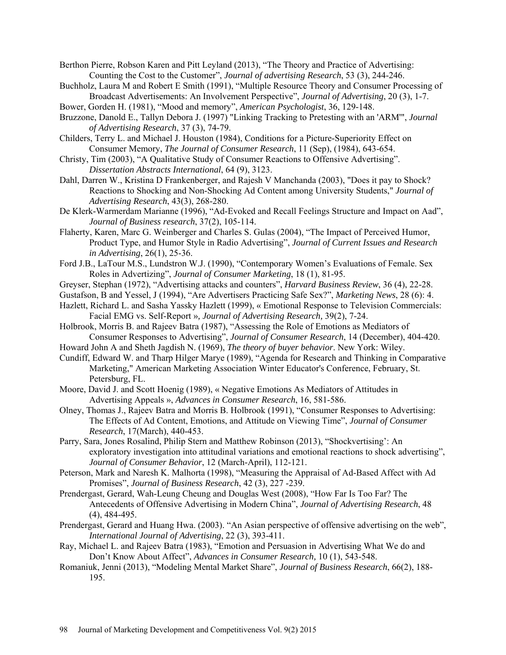Berthon Pierre, Robson Karen and Pitt Leyland (2013), "The Theory and Practice of Advertising: Counting the Cost to the Customer", *Journal of advertising Research*, 53 (3), 244-246.

- Buchholz, Laura M and Robert E Smith (1991), "Multiple Resource Theory and Consumer Processing of Broadcast Advertisements: An Involvement Perspective", *Journal of Advertising*, 20 (3), 1-7.
- Bower, Gorden H. (1981), "Mood and memory", *American Psychologist*, 36, 129-148.
- Bruzzone, Danold E., Tallyn Debora J. (1997) "Linking Tracking to Pretesting with an 'ARM'", *Journal of Advertising Research*, 37 (3), 74-79.
- Childers, Terry L. and Michael J. Houston (1984), Conditions for a Picture-Superiority Effect on Consumer Memory, *The Journal of Consumer Research*, 11 (Sep), (1984), 643-654.
- Christy, Tim (2003), "A Qualitative Study of Consumer Reactions to Offensive Advertising". *Dissertation Abstracts International*, 64 (9), 3123.
- Dahl, Darren W., Kristina D Frankenberger, and Rajesh V Manchanda (2003), "Does it pay to Shock? Reactions to Shocking and Non-Shocking Ad Content among University Students," *Journal of Advertising Research*, 43(3), 268-280.
- De Klerk-Warmerdam Marianne (1996), "Ad-Evoked and Recall Feelings Structure and Impact on Aad", *Journal of Business research*, 37(2), 105-114.
- Flaherty, Karen, Marc G. Weinberger and Charles S. Gulas (2004), "The Impact of Perceived Humor, Product Type, and Humor Style in Radio Advertising", *Journal of Current Issues and Research in Advertising*, 26(1), 25-36.
- Ford J.B., LaTour M.S., Lundstron W.J. (1990), "Contemporary Women's Evaluations of Female. Sex Roles in Advertizing", *Journal of Consumer Marketing*, 18 (1), 81-95.
- Greyser, Stephan (1972), "Advertising attacks and counters", *Harvard Business Review*, 36 (4), 22-28.
- Gustafson, B and Yessel, J (1994), "Are Advertisers Practicing Safe Sex?", *Marketing News*, 28 (6): 4.
- Hazlett, Richard L. and Sasha Yassky Hazlett (1999), « Emotional Response to Television Commercials: Facial EMG vs. Self-Report »*, Journal of Advertising Research,* 39(2), 7-24.
- Holbrook, Morris B. and Rajeev Batra (1987), "Assessing the Role of Emotions as Mediators of Consumer Responses to Advertising", *Journal of Consumer Research*, 14 (December), 404-420.
- Howard John A and Sheth Jagdish N. (1969), *The theory of buyer behavior*. New York: Wiley.
- Cundiff, Edward W. and Tharp Hilger Marye (1989), "Agenda for Research and Thinking in Comparative Marketing," American Marketing Association Winter Educator's Conference, February, St. Petersburg, FL.
- Moore, David J. and Scott Hoenig (1989), « Negative Emotions As Mediators of Attitudes in Advertising Appeals », *Advances in Consumer Research*, 16, 581-586.
- Olney, Thomas J., Rajeev Batra and Morris B. Holbrook (1991), "Consumer Responses to Advertising: The Effects of Ad Content, Emotions, and Attitude on Viewing Time", *Journal of Consumer Research*, 17(March), 440-453.
- Parry, Sara, Jones Rosalind, Philip Stern and Matthew Robinson (2013), "Shockvertising': An exploratory investigation into attitudinal variations and emotional reactions to shock advertising", *Journal of Consumer Behavior*, 12 (March-April), 112-121.
- Peterson, Mark and Naresh K. Malhorta (1998), "Measuring the Appraisal of Ad-Based Affect with Ad Promises", *[Journal of Business Research](http://econpapers.repec.org/article/eeejbrese/)*, 42 (3), 227 -239.
- Prendergast, Gerard, Wah-Leung Cheung and Douglas West (2008), "How Far Is Too Far? The Antecedents of Offensive Advertising in Modern China", *Journal of Advertising Research*, 48 (4), 484-495.
- Prendergast, Gerard and Huang Hwa. (2003). "An Asian perspective of offensive advertising on the web", *International Journal of Advertising*, 22 (3), 393-411.
- Ray, Michael L. and Rajeev Batra (1983), "Emotion and Persuasion in Advertising What We do and Don't Know About Affect", *Advances in Consumer Research,* 10 (1), 543-548.
- Romaniuk, Jenni (2013), "Modeling Mental Market Share", *Journal of Business Research*, 66(2), 188- 195.